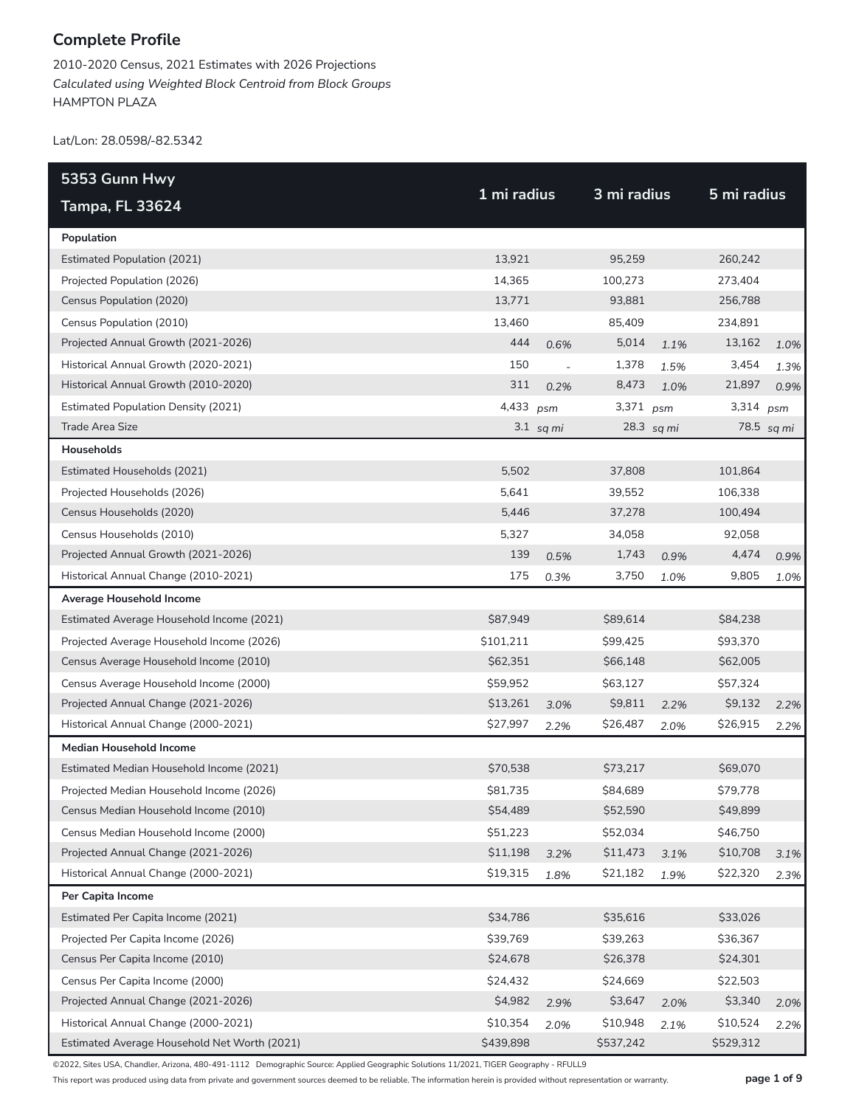2010-2020 Census, 2021 Estimates with 2026 Projections *Calculated using Weighted Block Centroid from Block Groups* HAMPTON PLAZA

Lat/Lon: 28.0598/-82.5342

| 5353 Gunn Hwy                                |             |                          |             |            |             |            |
|----------------------------------------------|-------------|--------------------------|-------------|------------|-------------|------------|
| <b>Tampa, FL 33624</b>                       | 1 mi radius |                          | 3 mi radius |            | 5 mi radius |            |
| Population                                   |             |                          |             |            |             |            |
| <b>Estimated Population (2021)</b>           | 13,921      |                          | 95,259      |            | 260,242     |            |
| Projected Population (2026)                  | 14,365      |                          | 100,273     |            | 273,404     |            |
| Census Population (2020)                     | 13,771      |                          | 93,881      |            | 256,788     |            |
| Census Population (2010)                     | 13,460      |                          | 85,409      |            | 234,891     |            |
| Projected Annual Growth (2021-2026)          | 444         | 0.6%                     | 5,014       | 1.1%       | 13,162      | 1.0%       |
| Historical Annual Growth (2020-2021)         | 150         | $\overline{\phantom{a}}$ | 1,378       | 1.5%       | 3,454       | 1.3%       |
| Historical Annual Growth (2010-2020)         | 311         | 0.2%                     | 8,473       | 1.0%       | 21,897      | 0.9%       |
| <b>Estimated Population Density (2021)</b>   | 4,433 psm   |                          | 3,371 psm   |            | 3,314 psm   |            |
| Trade Area Size                              |             | $3.1$ sq mi              |             | 28.3 sq mi |             | 78.5 sq mi |
| Households                                   |             |                          |             |            |             |            |
| Estimated Households (2021)                  | 5,502       |                          | 37,808      |            | 101,864     |            |
| Projected Households (2026)                  | 5,641       |                          | 39,552      |            | 106,338     |            |
| Census Households (2020)                     | 5,446       |                          | 37,278      |            | 100,494     |            |
| Census Households (2010)                     | 5,327       |                          | 34,058      |            | 92,058      |            |
| Projected Annual Growth (2021-2026)          | 139         | 0.5%                     | 1,743       | 0.9%       | 4,474       | 0.9%       |
| Historical Annual Change (2010-2021)         | 175         | 0.3%                     | 3,750       | 1.0%       | 9,805       | 1.0%       |
| Average Household Income                     |             |                          |             |            |             |            |
| Estimated Average Household Income (2021)    | \$87,949    |                          | \$89,614    |            | \$84,238    |            |
| Projected Average Household Income (2026)    | \$101,211   |                          | \$99,425    |            | \$93,370    |            |
| Census Average Household Income (2010)       | \$62,351    |                          | \$66,148    |            | \$62,005    |            |
| Census Average Household Income (2000)       | \$59,952    |                          | \$63,127    |            | \$57,324    |            |
| Projected Annual Change (2021-2026)          | \$13,261    | 3.0%                     | \$9,811     | 2.2%       | \$9,132     | 2.2%       |
| Historical Annual Change (2000-2021)         | \$27,997    | 2.2%                     | \$26,487    | 2.0%       | \$26,915    | 2.2%       |
| <b>Median Household Income</b>               |             |                          |             |            |             |            |
| Estimated Median Household Income (2021)     | \$70,538    |                          | \$73,217    |            | \$69,070    |            |
| Projected Median Household Income (2026)     | \$81,735    |                          | \$84,689    |            | \$79,778    |            |
| Census Median Household Income (2010)        | \$54,489    |                          | \$52,590    |            | \$49,899    |            |
| Census Median Household Income (2000)        | \$51,223    |                          | \$52,034    |            | \$46,750    |            |
| Projected Annual Change (2021-2026)          | \$11,198    | 3.2%                     | \$11,473    | 3.1%       | \$10,708    | 3.1%       |
| Historical Annual Change (2000-2021)         | \$19,315    | 1.8%                     | \$21,182    | 1.9%       | \$22,320    | 2.3%       |
| Per Capita Income                            |             |                          |             |            |             |            |
| Estimated Per Capita Income (2021)           | \$34,786    |                          | \$35,616    |            | \$33,026    |            |
| Projected Per Capita Income (2026)           | \$39,769    |                          | \$39,263    |            | \$36,367    |            |
| Census Per Capita Income (2010)              | \$24,678    |                          | \$26,378    |            | \$24,301    |            |
| Census Per Capita Income (2000)              | \$24,432    |                          | \$24,669    |            | \$22,503    |            |
| Projected Annual Change (2021-2026)          | \$4,982     | 2.9%                     | \$3,647     | 2.0%       | \$3,340     | 2.0%       |
| Historical Annual Change (2000-2021)         | \$10,354    | 2.0%                     | \$10,948    | 2.1%       | \$10,524    | 2.2%       |
| Estimated Average Household Net Worth (2021) | \$439,898   |                          | \$537,242   |            | \$529,312   |            |

©2022, Sites USA, Chandler, Arizona, 480-491-1112 Demographic Source: Applied Geographic Solutions 11/2021, TIGER Geography - RFULL9

This report was produced using data from private and government sources deemed to be reliable. The information herein is provided without representation or warranty. **page 1 of 9**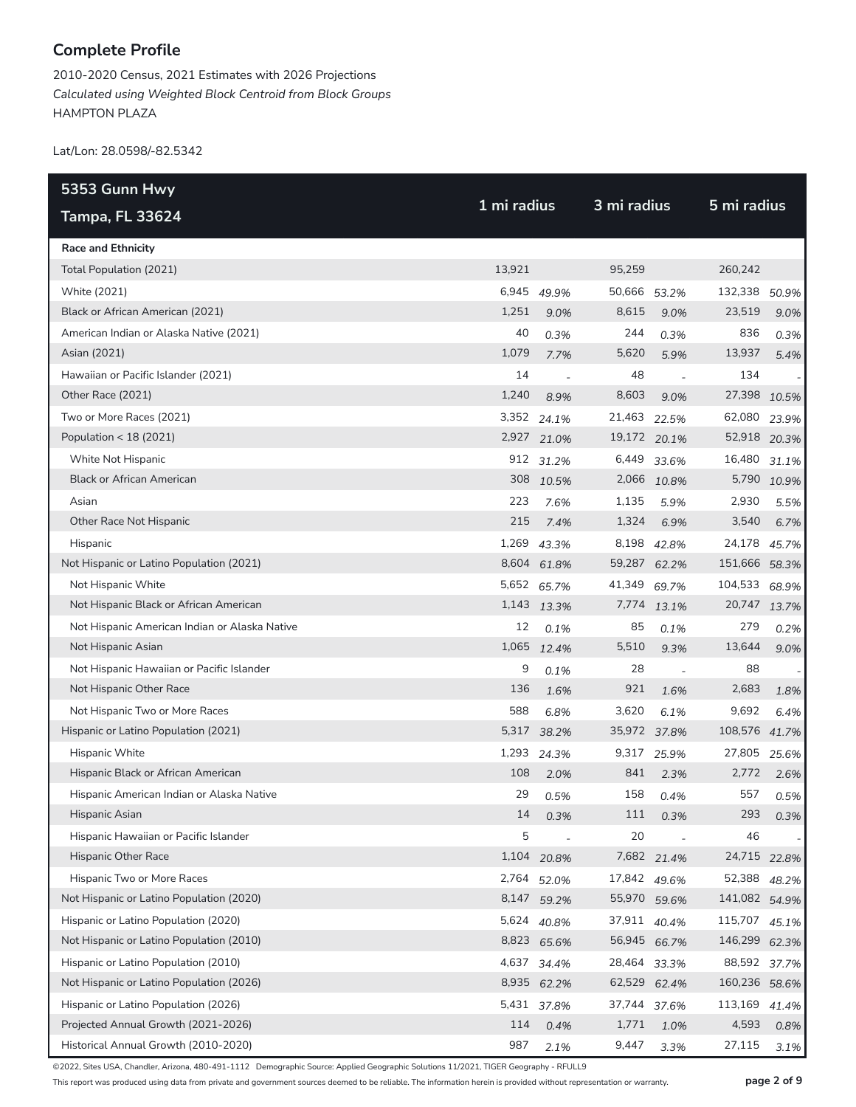2010-2020 Census, 2021 Estimates with 2026 Projections *Calculated using Weighted Block Centroid from Block Groups* HAMPTON PLAZA

Lat/Lon: 28.0598/-82.5342

| 5353 Gunn Hwy                                 | 1 mi radius |                |              | 3 mi radius  |               | 5 mi radius |
|-----------------------------------------------|-------------|----------------|--------------|--------------|---------------|-------------|
| <b>Tampa, FL 33624</b>                        |             |                |              |              |               |             |
| <b>Race and Ethnicity</b>                     |             |                |              |              |               |             |
| Total Population (2021)                       | 13,921      |                | 95,259       |              | 260,242       |             |
| White (2021)                                  | 6,945       | 49.9%          | 50,666       | 53.2%        | 132,338       | 50.9%       |
| Black or African American (2021)              | 1,251       | 9.0%           | 8,615        | 9.0%         | 23,519        | 9.0%        |
| American Indian or Alaska Native (2021)       | 40          | 0.3%           | 244          | 0.3%         | 836           | 0.3%        |
| Asian (2021)                                  | 1,079       | 7.7%           | 5,620        | 5.9%         | 13,937        | 5.4%        |
| Hawaiian or Pacific Islander (2021)           | 14          | $\overline{a}$ | 48           |              | 134           |             |
| Other Race (2021)                             | 1,240       | 8.9%           | 8,603        | 9.0%         | 27,398        | 10.5%       |
| Two or More Races (2021)                      |             | 3,352 24.1%    | 21,463       | 22.5%        | 62,080        | 23.9%       |
| Population < 18 (2021)                        |             | 2,927 21.0%    | 19,172 20.1% |              | 52,918 20.3%  |             |
| White Not Hispanic                            |             | 912 31.2%      | 6,449        | 33.6%        | 16,480        | 31.1%       |
| <b>Black or African American</b>              |             | 308 10.5%      |              | 2,066 10.8%  |               | 5,790 10.9% |
| Asian                                         | 223         | 7.6%           | 1,135        | 5.9%         | 2,930         | 5.5%        |
| Other Race Not Hispanic                       | 215         | 7.4%           | 1,324        | 6.9%         | 3,540         | 6.7%        |
| Hispanic                                      | 1,269       | 43.3%          |              | 8,198 42.8%  | 24,178        | 45.7%       |
| Not Hispanic or Latino Population (2021)      |             | 8,604 61.8%    |              | 59,287 62.2% | 151,666 58.3% |             |
| Not Hispanic White                            |             | 5,652 65.7%    | 41,349       | 69.7%        | 104,533       | 68.9%       |
| Not Hispanic Black or African American        |             | 1,143 13.3%    |              | 7,774 13.1%  | 20,747 13.7%  |             |
| Not Hispanic American Indian or Alaska Native | 12          | 0.1%           | 85           | 0.1%         | 279           | 0.2%        |
| Not Hispanic Asian                            |             | 1,065 12.4%    | 5,510        | 9.3%         | 13,644        | 9.0%        |
| Not Hispanic Hawaiian or Pacific Islander     | 9           | 0.1%           | 28           |              | 88            |             |
| Not Hispanic Other Race                       | 136         | 1.6%           | 921          | 1.6%         | 2,683         | 1.8%        |
| Not Hispanic Two or More Races                | 588         | 6.8%           | 3,620        | 6.1%         | 9,692         | 6.4%        |
| Hispanic or Latino Population (2021)          |             | 5,317 38.2%    | 35,972 37.8% |              | 108,576 41.7% |             |
| Hispanic White                                | 1,293       | 24.3%          | 9,317        | 25.9%        | 27,805        | 25.6%       |
| Hispanic Black or African American            | 108         | 2.0%           | 841          | 2.3%         | 2,772         | 2.6%        |
| Hispanic American Indian or Alaska Native     | 29          | 0.5%           | 158          | 0.4%         | 557           | 0.5%        |
| Hispanic Asian                                | $14\,$      | 0.3%           | 111          | 0.3%         | 293           | 0.3%        |
| Hispanic Hawaiian or Pacific Islander         | 5           |                | 20           |              | 46            |             |
| <b>Hispanic Other Race</b>                    |             | 1,104 20.8%    |              | 7,682 21.4%  | 24,715 22.8%  |             |
| Hispanic Two or More Races                    | 2,764       | 52.0%          | 17,842 49.6% |              | 52,388        | 48.2%       |
| Not Hispanic or Latino Population (2020)      |             | 8,147 59.2%    |              | 55,970 59.6% | 141,082 54.9% |             |
| Hispanic or Latino Population (2020)          | 5,624       | 40.8%          | 37,911 40.4% |              | 115,707       | 45.1%       |
| Not Hispanic or Latino Population (2010)      |             | 8,823 65.6%    | 56,945 66.7% |              | 146,299       | 62.3%       |
| Hispanic or Latino Population (2010)          | 4,637       | 34.4%          | 28,464 33.3% |              | 88,592        | 37.7%       |
| Not Hispanic or Latino Population (2026)      |             | 8,935 62.2%    | 62,529 62.4% |              | 160,236 58.6% |             |
| Hispanic or Latino Population (2026)          |             | 5,431 37.8%    | 37,744 37.6% |              | 113,169       | 41.4%       |
| Projected Annual Growth (2021-2026)           | 114         | 0.4%           | 1,771        | 1.0%         | 4,593         | 0.8%        |
| Historical Annual Growth (2010-2020)          | 987         | 2.1%           | 9,447        | 3.3%         | 27,115        | 3.1%        |

©2022, Sites USA, Chandler, Arizona, 480-491-1112 Demographic Source: Applied Geographic Solutions 11/2021, TIGER Geography - RFULL9

This report was produced using data from private and government sources deemed to be reliable. The information herein is provided without representation or warranty. **page 2 of 9**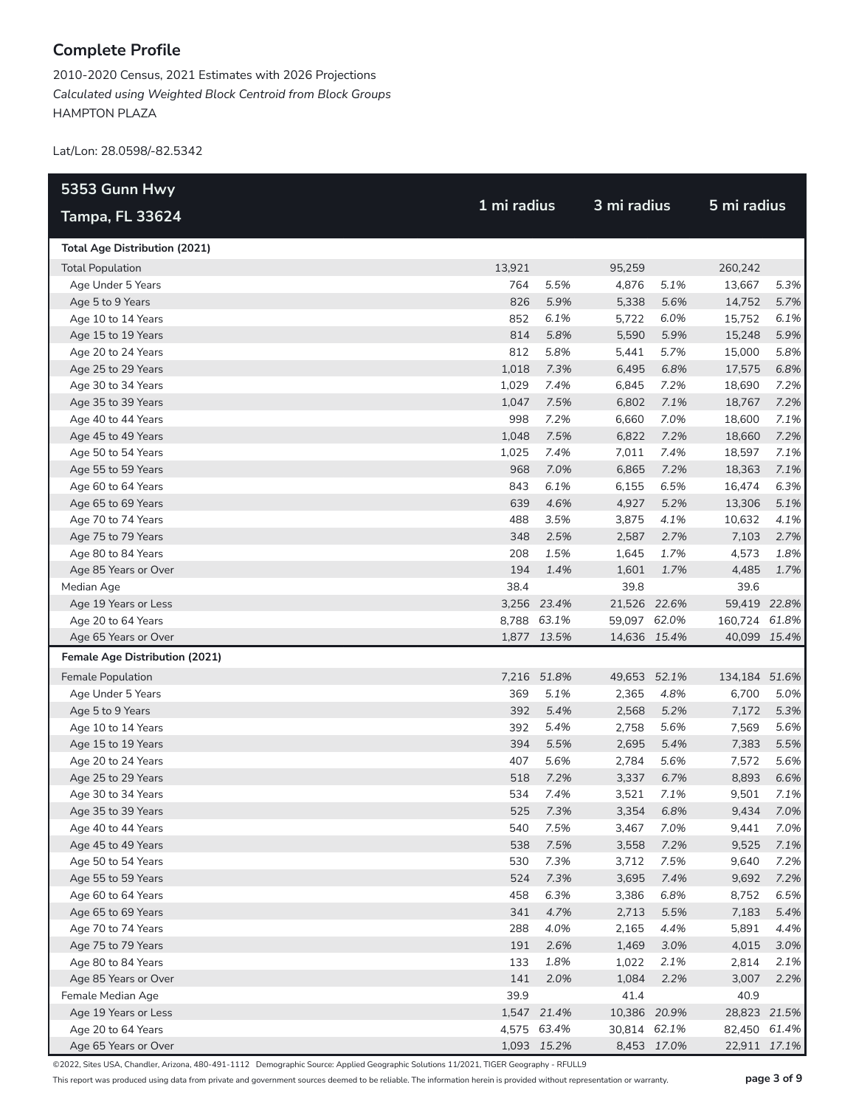2010-2020 Census, 2021 Estimates with 2026 Projections *Calculated using Weighted Block Centroid from Block Groups* HAMPTON PLAZA

Lat/Lon: 28.0598/-82.5342

| 5353 Gunn Hwy                         |        |             |              | 3 mi radius |               | 5 mi radius |  |
|---------------------------------------|--------|-------------|--------------|-------------|---------------|-------------|--|
| <b>Tampa, FL 33624</b>                |        | 1 mi radius |              |             |               |             |  |
| <b>Total Age Distribution (2021)</b>  |        |             |              |             |               |             |  |
| <b>Total Population</b>               | 13,921 |             | 95,259       |             | 260,242       |             |  |
| Age Under 5 Years                     | 764    | 5.5%        | 4,876        | 5.1%        | 13,667        | 5.3%        |  |
| Age 5 to 9 Years                      | 826    | 5.9%        | 5,338        | 5.6%        | 14,752        | 5.7%        |  |
| Age 10 to 14 Years                    | 852    | 6.1%        | 5,722        | 6.0%        | 15,752        | 6.1%        |  |
| Age 15 to 19 Years                    | 814    | 5.8%        | 5,590        | 5.9%        | 15,248        | 5.9%        |  |
| Age 20 to 24 Years                    | 812    | 5.8%        | 5,441        | 5.7%        | 15,000        | 5.8%        |  |
| Age 25 to 29 Years                    | 1,018  | 7.3%        | 6,495        | 6.8%        | 17,575        | 6.8%        |  |
| Age 30 to 34 Years                    | 1,029  | 7.4%        | 6,845        | 7.2%        | 18,690        | 7.2%        |  |
| Age 35 to 39 Years                    | 1,047  | 7.5%        | 6,802        | 7.1%        | 18,767        | 7.2%        |  |
| Age 40 to 44 Years                    | 998    | 7.2%        | 6,660        | 7.0%        | 18,600        | 7.1%        |  |
| Age 45 to 49 Years                    | 1,048  | 7.5%        | 6,822        | 7.2%        | 18,660        | 7.2%        |  |
| Age 50 to 54 Years                    | 1,025  | 7.4%        | 7,011        | 7.4%        | 18,597        | 7.1%        |  |
| Age 55 to 59 Years                    | 968    | 7.0%        | 6,865        | 7.2%        | 18,363        | 7.1%        |  |
| Age 60 to 64 Years                    | 843    | 6.1%        | 6,155        | 6.5%        | 16,474        | 6.3%        |  |
| Age 65 to 69 Years                    | 639    | 4.6%        | 4,927        | 5.2%        | 13,306        | 5.1%        |  |
| Age 70 to 74 Years                    | 488    | 3.5%        | 3,875        | 4.1%        | 10,632        | 4.1%        |  |
| Age 75 to 79 Years                    | 348    | 2.5%        | 2,587        | 2.7%        | 7,103         | 2.7%        |  |
| Age 80 to 84 Years                    | 208    | 1.5%        | 1,645        | 1.7%        | 4,573         | 1.8%        |  |
| Age 85 Years or Over                  | 194    | 1.4%        | 1,601        | 1.7%        | 4,485         | 1.7%        |  |
| Median Age                            | 38.4   |             | 39.8         |             | 39.6          |             |  |
| Age 19 Years or Less                  |        | 3,256 23.4% | 21,526 22.6% |             | 59,419 22.8%  |             |  |
| Age 20 to 64 Years                    |        | 8,788 63.1% | 59,097 62.0% |             | 160,724 61.8% |             |  |
| Age 65 Years or Over                  |        | 1,877 13.5% | 14,636 15.4% |             | 40,099 15.4%  |             |  |
| <b>Female Age Distribution (2021)</b> |        |             |              |             |               |             |  |
| Female Population                     |        | 7,216 51.8% | 49,653 52.1% |             | 134,184 51.6% |             |  |
| Age Under 5 Years                     | 369    | 5.1%        | 2,365        | 4.8%        | 6,700         | 5.0%        |  |
| Age 5 to 9 Years                      | 392    | 5.4%        | 2,568        | 5.2%        | 7,172         | 5.3%        |  |
| Age 10 to 14 Years                    | 392    | 5.4%        | 2,758        | 5.6%        | 7,569         | 5.6%        |  |
| Age 15 to 19 Years                    | 394    | 5.5%        | 2,695        | 5.4%        | 7,383         | 5.5%        |  |
| Age 20 to 24 Years                    | 407    | 5.6%        | 2,784        | 5.6%        | 7,572         | 5.6%        |  |
| Age 25 to 29 Years                    | 518    | 7.2%        | 3,337        | 6.7%        | 8,893         | 6.6%        |  |
| Age 30 to 34 Years                    | 534    | 7.4%        | 3,521        | 7.1%        | 9,501         | 7.1%        |  |
| Age 35 to 39 Years                    |        | 525 7.3%    | 3,354        | 6.8%        | 9,434         | 7.0%        |  |
| Age 40 to 44 Years                    | 540    | 7.5%        | 3,467        | 7.0%        | 9,441         | 7.0%        |  |
| Age 45 to 49 Years                    | 538    | 7.5%        | 3,558        | 7.2%        | 9,525         | 7.1%        |  |
| Age 50 to 54 Years                    | 530    | 7.3%        | 3,712        | 7.5%        | 9,640         | 7.2%        |  |
| Age 55 to 59 Years                    | 524    | 7.3%        | 3,695        | 7.4%        | 9,692         | 7.2%        |  |
| Age 60 to 64 Years                    | 458    | 6.3%        | 3,386        | 6.8%        | 8,752         | 6.5%        |  |
| Age 65 to 69 Years                    | 341    | 4.7%        | 2,713        | 5.5%        | 7,183         | 5.4%        |  |
| Age 70 to 74 Years                    | 288    | 4.0%        | 2,165        | 4.4%        | 5,891         | 4.4%        |  |
| Age 75 to 79 Years                    | 191    | 2.6%        | 1,469        | 3.0%        | 4,015         | 3.0%        |  |
| Age 80 to 84 Years                    | 133    | 1.8%        | 1,022        | 2.1%        | 2,814         | 2.1%        |  |
| Age 85 Years or Over                  | 141    | 2.0%        | 1,084        | 2.2%        | 3,007         | 2.2%        |  |
| Female Median Age                     | 39.9   |             | 41.4         |             | 40.9          |             |  |
| Age 19 Years or Less                  |        | 1,547 21.4% | 10,386 20.9% |             | 28,823 21.5%  |             |  |
| Age 20 to 64 Years                    |        | 4,575 63.4% | 30,814 62.1% |             | 82,450 61.4%  |             |  |
| Age 65 Years or Over                  |        | 1,093 15.2% |              | 8,453 17.0% | 22,911 17.1%  |             |  |

©2022, Sites USA, Chandler, Arizona, 480-491-1112 Demographic Source: Applied Geographic Solutions 11/2021, TIGER Geography - RFULL9

This report was produced using data from private and government sources deemed to be reliable. The information herein is provided without representation or warranty. **page 3 of 9**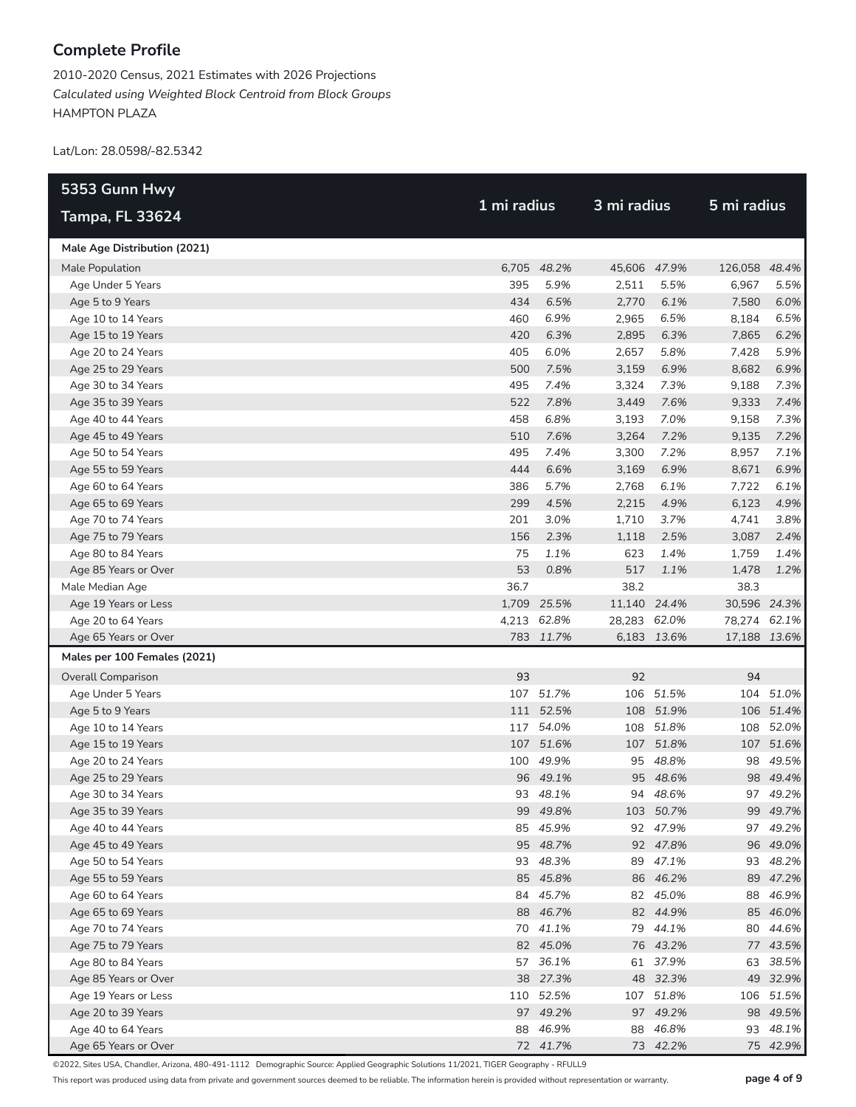2010-2020 Census, 2021 Estimates with 2026 Projections *Calculated using Weighted Block Centroid from Block Groups* HAMPTON PLAZA

Lat/Lon: 28.0598/-82.5342

| 5353 Gunn Hwy                |             |             | 3 mi radius  |             | 5 mi radius   |              |
|------------------------------|-------------|-------------|--------------|-------------|---------------|--------------|
| <b>Tampa, FL 33624</b>       | 1 mi radius |             |              |             |               |              |
| Male Age Distribution (2021) |             |             |              |             |               |              |
| Male Population              |             | 6,705 48.2% | 45,606 47.9% |             | 126,058 48.4% |              |
| Age Under 5 Years            | 395         | 5.9%        | 2,511        | 5.5%        | 6,967         | 5.5%         |
| Age 5 to 9 Years             | 434         | 6.5%        | 2,770        | 6.1%        | 7,580         | 6.0%         |
| Age 10 to 14 Years           | 460         | 6.9%        | 2,965        | 6.5%        | 8,184         | 6.5%         |
| Age 15 to 19 Years           | 420         | 6.3%        | 2,895        | 6.3%        | 7,865         | 6.2%         |
| Age 20 to 24 Years           | 405         | 6.0%        | 2,657        | 5.8%        | 7,428         | 5.9%         |
| Age 25 to 29 Years           | 500         | 7.5%        | 3,159        | 6.9%        | 8,682         | 6.9%         |
| Age 30 to 34 Years           | 495         | 7.4%        | 3,324        | 7.3%        | 9,188         | 7.3%         |
| Age 35 to 39 Years           | 522         | 7.8%        | 3,449        | 7.6%        | 9,333         | 7.4%         |
| Age 40 to 44 Years           | 458         | 6.8%        | 3,193        | 7.0%        | 9,158         | 7.3%         |
| Age 45 to 49 Years           | 510         | 7.6%        | 3,264        | 7.2%        | 9,135         | 7.2%         |
| Age 50 to 54 Years           | 495         | 7.4%        | 3,300        | 7.2%        | 8,957         | 7.1%         |
| Age 55 to 59 Years           | 444         | 6.6%        | 3,169        | 6.9%        | 8,671         | 6.9%         |
| Age 60 to 64 Years           | 386         | 5.7%        | 2,768        | 6.1%        | 7,722         | 6.1%         |
| Age 65 to 69 Years           | 299         | 4.5%        | 2,215        | 4.9%        | 6,123         | 4.9%         |
| Age 70 to 74 Years           | 201         | 3.0%        | 1,710        | 3.7%        | 4,741         | 3.8%         |
| Age 75 to 79 Years           | 156         | 2.3%        | 1,118        | 2.5%        | 3,087         | 2.4%         |
| Age 80 to 84 Years           | 75          | 1.1%        | 623          | 1.4%        | 1,759         | 1.4%         |
| Age 85 Years or Over         | 53          | 0.8%        | 517          | 1.1%        | 1,478         | 1.2%         |
| Male Median Age              | 36.7        |             | 38.2         |             | 38.3          |              |
| Age 19 Years or Less         |             | 1,709 25.5% | 11,140 24.4% |             |               | 30,596 24.3% |
| Age 20 to 64 Years           |             | 4,213 62.8% | 28,283 62.0% |             | 78,274 62.1%  |              |
| Age 65 Years or Over         |             | 783 11.7%   |              | 6,183 13.6% |               | 17,188 13.6% |
| Males per 100 Females (2021) |             |             |              |             |               |              |
| <b>Overall Comparison</b>    | 93          |             | 92           |             | 94            |              |
| Age Under 5 Years            |             | 107 51.7%   |              | 106 51.5%   |               | 104 51.0%    |
| Age 5 to 9 Years             |             | 111 52.5%   |              | 108 51.9%   |               | 106 51.4%    |
| Age 10 to 14 Years           |             | 117 54.0%   | 108          | 51.8%       |               | 108 52.0%    |
| Age 15 to 19 Years           |             | 107 51.6%   |              | 107 51.8%   |               | 107 51.6%    |
| Age 20 to 24 Years           |             | 100 49.9%   |              | 95 48.8%    |               | 98 49.5%     |
| Age 25 to 29 Years           |             | 96 49.1%    |              | 95 48.6%    |               | 98 49.4%     |
| Age 30 to 34 Years           |             | 93 48.1%    |              | 94 48.6%    |               | 97 49.2%     |
| Age 35 to 39 Years           |             | 99 49.8%    |              | 103 50.7%   |               | 99 49.7%     |
| Age 40 to 44 Years           |             | 85 45.9%    |              | 92 47.9%    |               | 97 49.2%     |
| Age 45 to 49 Years           |             | 95 48.7%    |              | 92 47.8%    |               | 96 49.0%     |
| Age 50 to 54 Years           |             | 93 48.3%    |              | 89 47.1%    |               | 93 48.2%     |
| Age 55 to 59 Years           |             | 85 45.8%    |              | 86 46.2%    |               | 89 47.2%     |
| Age 60 to 64 Years           |             | 84 45.7%    |              | 82 45.0%    |               | 88 46.9%     |
| Age 65 to 69 Years           |             | 88 46.7%    |              | 82 44.9%    |               | 85 46.0%     |
| Age 70 to 74 Years           |             | 70 41.1%    |              | 79 44.1%    |               | 80 44.6%     |
| Age 75 to 79 Years           |             | 82 45.0%    |              | 76 43.2%    |               | 77 43.5%     |
| Age 80 to 84 Years           |             | 57 36.1%    |              | 61 37.9%    |               | 63 38.5%     |
| Age 85 Years or Over         |             | 38 27.3%    |              | 48 32.3%    |               | 49 32.9%     |
| Age 19 Years or Less         |             | 110 52.5%   | 107          | 51.8%       |               | 106 51.5%    |
| Age 20 to 39 Years           |             | 97 49.2%    |              | 97 49.2%    |               | 98 49.5%     |
| Age 40 to 64 Years           |             | 88 46.9%    | 88           | 46.8%       |               | 93 48.1%     |
| Age 65 Years or Over         |             | 72 41.7%    |              | 73 42.2%    |               | 75 42.9%     |

©2022, Sites USA, Chandler, Arizona, 480-491-1112 Demographic Source: Applied Geographic Solutions 11/2021, TIGER Geography - RFULL9

This report was produced using data from private and government sources deemed to be reliable. The information herein is provided without representation or warranty. **page 4 of 9**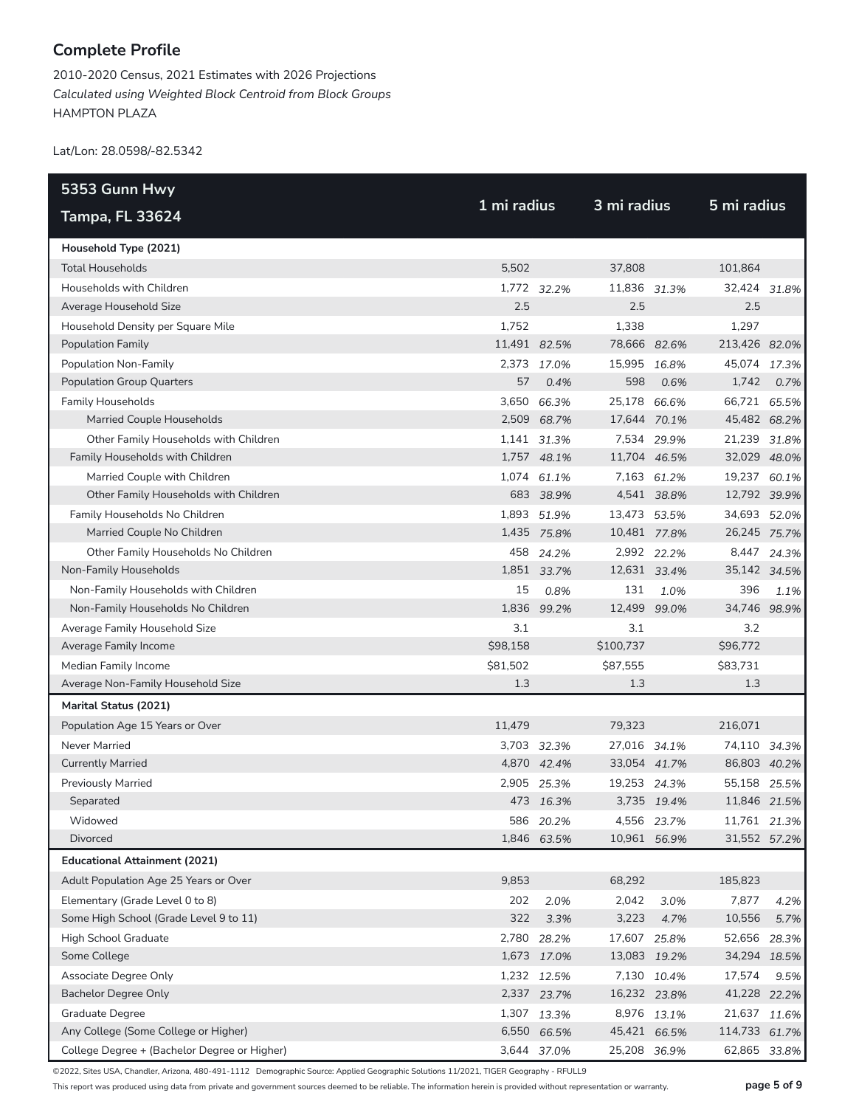2010-2020 Census, 2021 Estimates with 2026 Projections *Calculated using Weighted Block Centroid from Block Groups* HAMPTON PLAZA

Lat/Lon: 28.0598/-82.5342

| 5353 Gunn Hwy                                | 1 mi radius  |             |              | 3 mi radius |               |              |
|----------------------------------------------|--------------|-------------|--------------|-------------|---------------|--------------|
| <b>Tampa, FL 33624</b>                       |              |             |              |             | 5 mi radius   |              |
| Household Type (2021)                        |              |             |              |             |               |              |
| <b>Total Households</b>                      | 5.502        |             | 37,808       |             | 101,864       |              |
| Households with Children                     |              | 1,772 32.2% | 11,836 31.3% |             | 32,424 31.8%  |              |
| Average Household Size                       | 2.5          |             | 2.5          |             | 2.5           |              |
| Household Density per Square Mile            | 1,752        |             | 1,338        |             | 1,297         |              |
| <b>Population Family</b>                     | 11,491 82.5% |             | 78,666 82.6% |             | 213,426 82.0% |              |
| Population Non-Family                        |              | 2,373 17.0% | 15,995 16.8% |             | 45,074 17.3%  |              |
| <b>Population Group Quarters</b>             | 57           | 0.4%        | 598          | 0.6%        | 1,742         | 0.7%         |
| <b>Family Households</b>                     |              | 3,650 66.3% | 25,178 66.6% |             | 66,721 65.5%  |              |
| Married Couple Households                    |              | 2,509 68.7% | 17,644 70.1% |             | 45,482 68.2%  |              |
| Other Family Households with Children        |              | 1,141 31.3% |              | 7,534 29.9% | 21,239 31.8%  |              |
| Family Households with Children              |              | 1,757 48.1% | 11,704 46.5% |             | 32,029 48.0%  |              |
| Married Couple with Children                 |              | 1,074 61.1% |              | 7,163 61.2% | 19,237 60.1%  |              |
| Other Family Households with Children        |              | 683 38.9%   |              | 4,541 38.8% | 12,792 39.9%  |              |
| Family Households No Children                |              | 1,893 51.9% | 13,473 53.5% |             | 34,693 52.0%  |              |
| Married Couple No Children                   |              | 1,435 75.8% | 10,481 77.8% |             | 26,245 75.7%  |              |
| Other Family Households No Children          |              | 458 24.2%   |              | 2,992 22.2% |               | 8,447 24.3%  |
| Non-Family Households                        |              | 1,851 33.7% | 12,631 33.4% |             | 35,142 34.5%  |              |
| Non-Family Households with Children          | 15           | 0.8%        | 131          | 1.0%        | 396           | 1.1%         |
| Non-Family Households No Children            |              | 1,836 99.2% | 12,499       | 99.0%       | 34,746 98.9%  |              |
| Average Family Household Size                | 3.1          |             | 3.1          |             | 3.2           |              |
| Average Family Income                        | \$98,158     |             | \$100,737    |             | \$96,772      |              |
| Median Family Income                         | \$81,502     |             | \$87,555     |             | \$83,731      |              |
| Average Non-Family Household Size            | 1.3          |             | 1.3          |             | 1.3           |              |
| Marital Status (2021)                        |              |             |              |             |               |              |
| Population Age 15 Years or Over              | 11,479       |             | 79,323       |             | 216,071       |              |
| Never Married                                |              | 3,703 32.3% | 27,016 34.1% |             | 74,110 34.3%  |              |
| <b>Currently Married</b>                     |              | 4,870 42.4% | 33,054 41.7% |             | 86,803 40.2%  |              |
| <b>Previously Married</b>                    |              | 2,905 25.3% | 19,253 24.3% |             | 55,158 25.5%  |              |
| Separated                                    |              | 473 16.3%   |              | 3,735 19.4% | 11,846 21.5%  |              |
| Widowed                                      | 586          | 20.2%       |              | 4,556 23.7% |               | 11,761 21.3% |
| Divorced                                     |              | 1,846 63.5% | 10,961 56.9% |             | 31,552 57.2%  |              |
| <b>Educational Attainment (2021)</b>         |              |             |              |             |               |              |
| Adult Population Age 25 Years or Over        | 9,853        |             | 68,292       |             | 185,823       |              |
| Elementary (Grade Level 0 to 8)              | 202          | 2.0%        | 2,042        | 3.0%        | 7,877         | 4.2%         |
| Some High School (Grade Level 9 to 11)       | 322          | 3.3%        | 3,223        | 4.7%        | 10,556        | 5.7%         |
| High School Graduate                         |              | 2,780 28.2% | 17,607 25.8% |             | 52,656        | 28.3%        |
| Some College                                 |              | 1,673 17.0% | 13,083 19.2% |             | 34,294 18.5%  |              |
| Associate Degree Only                        |              | 1,232 12.5% |              | 7,130 10.4% | 17,574        | 9.5%         |
| <b>Bachelor Degree Only</b>                  |              | 2,337 23.7% | 16,232 23.8% |             | 41,228 22.2%  |              |
| Graduate Degree                              |              | 1,307 13.3% |              | 8,976 13.1% | 21,637        | 11.6%        |
| Any College (Some College or Higher)         |              | 6,550 66.5% | 45,421 66.5% |             | 114,733 61.7% |              |
| College Degree + (Bachelor Degree or Higher) |              | 3,644 37.0% | 25,208 36.9% |             | 62,865        | 33.8%        |

©2022, Sites USA, Chandler, Arizona, 480-491-1112 Demographic Source: Applied Geographic Solutions 11/2021, TIGER Geography - RFULL9

This report was produced using data from private and government sources deemed to be reliable. The information herein is provided without representation or warranty. **page 5 of 9**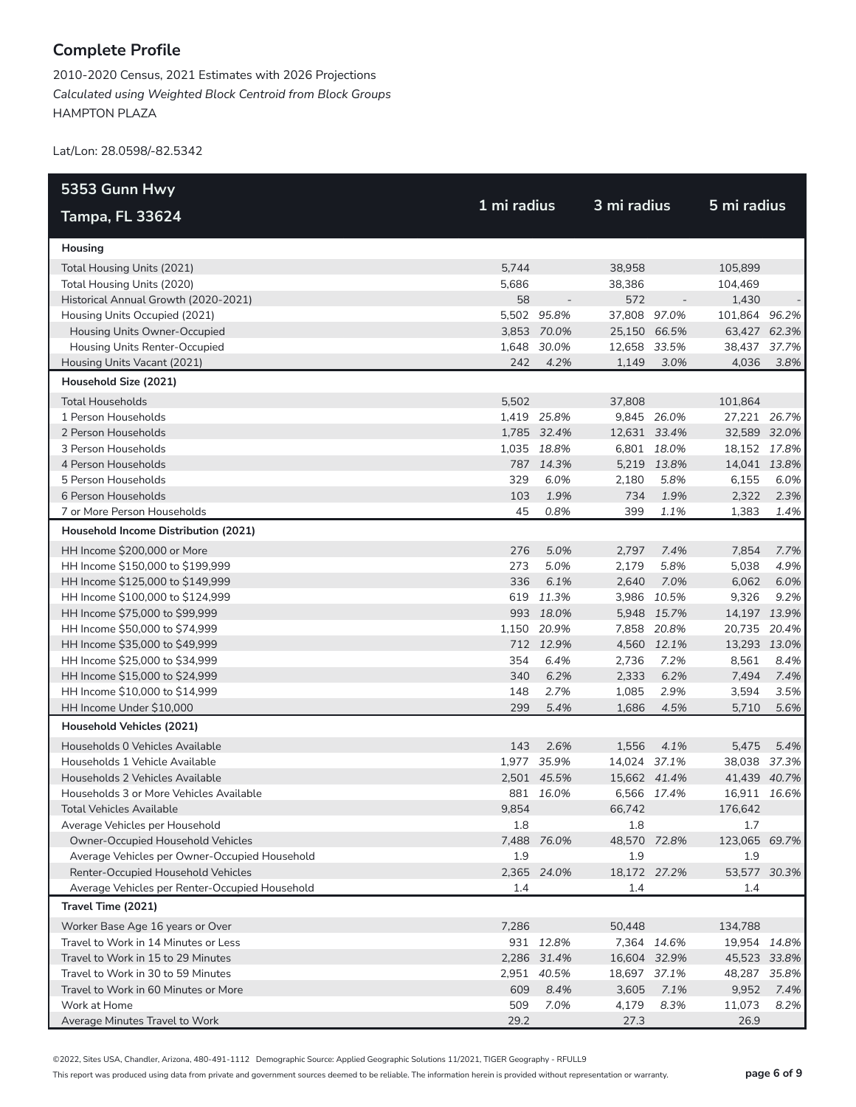2010-2020 Census, 2021 Estimates with 2026 Projections *Calculated using Weighted Block Centroid from Block Groups* HAMPTON PLAZA

Lat/Lon: 28.0598/-82.5342

| 5353 Gunn Hwy                                                       |       |             | 3 mi radius         |             |                      |       |
|---------------------------------------------------------------------|-------|-------------|---------------------|-------------|----------------------|-------|
| <b>Tampa, FL 33624</b>                                              |       | 1 mi radius |                     |             | 5 mi radius          |       |
| Housing                                                             |       |             |                     |             |                      |       |
| Total Housing Units (2021)                                          | 5,744 |             | 38,958              |             | 105,899              |       |
| Total Housing Units (2020)                                          | 5,686 |             | 38,386              |             | 104,469              |       |
| Historical Annual Growth (2020-2021)                                | 58    |             | 572                 |             | 1,430                |       |
| Housing Units Occupied (2021)                                       |       | 5,502 95.8% | 37,808 97.0%        |             | 101,864 96.2%        |       |
| Housing Units Owner-Occupied                                        |       | 3,853 70.0% | 25,150 66.5%        |             | 63,427 62.3%         |       |
| Housing Units Renter-Occupied                                       |       | 1,648 30.0% | 12,658 33.5%        |             | 38,437 37.7%         |       |
| Housing Units Vacant (2021)                                         | 242   | 4.2%        | 1,149               | 3.0%        | 4,036                | 3.8%  |
| Household Size (2021)                                               |       |             |                     |             |                      |       |
| <b>Total Households</b>                                             | 5,502 |             | 37,808              |             | 101,864              |       |
| 1 Person Households                                                 |       | 1,419 25.8% |                     | 9,845 26.0% | 27,221 26.7%         |       |
| 2 Person Households                                                 |       | 1,785 32.4% | 12,631 33.4%        |             | 32,589 32.0%         |       |
| 3 Person Households                                                 |       | 1,035 18.8% |                     | 6,801 18.0% | 18,152 17.8%         |       |
| 4 Person Households                                                 |       | 787 14.3%   |                     | 5,219 13.8% | 14,041 13.8%         |       |
| 5 Person Households                                                 | 329   | 6.0%        | 2,180               | 5.8%        | 6,155                | 6.0%  |
| 6 Person Households                                                 | 103   | 1.9%        | 734                 | 1.9%        | 2,322                | 2.3%  |
| 7 or More Person Households                                         | 45    | 0.8%        | 399                 | 1.1%        | 1,383                | 1.4%  |
| Household Income Distribution (2021)                                |       |             |                     |             |                      |       |
| HH Income \$200,000 or More                                         | 276   | 5.0%        | 2,797               | 7.4%        | 7,854                | 7.7%  |
| HH Income \$150,000 to \$199,999                                    | 273   | 5.0%        | 2,179               | 5.8%        | 5,038                | 4.9%  |
| HH Income \$125,000 to \$149,999                                    | 336   | 6.1%        | 2,640               | 7.0%        | 6,062                | 6.0%  |
| HH Income \$100,000 to \$124,999                                    |       | 619 11.3%   |                     | 3,986 10.5% | 9,326                | 9.2%  |
| HH Income \$75,000 to \$99,999                                      |       | 993 18.0%   |                     | 5,948 15.7% | 14,197 13.9%         |       |
| HH Income \$50,000 to \$74,999                                      |       | 1,150 20.9% |                     | 7,858 20.8% | 20,735               | 20.4% |
| HH Income \$35,000 to \$49,999                                      |       | 712 12.9%   |                     | 4,560 12.1% | 13,293 13.0%         |       |
| HH Income \$25,000 to \$34,999                                      | 354   | 6.4%        | 2,736               | 7.2%        | 8,561                | 8.4%  |
| HH Income \$15,000 to \$24,999                                      | 340   | 6.2%        | 2,333               | 6.2%        | 7,494                | 7.4%  |
| HH Income \$10,000 to \$14,999                                      | 148   | 2.7%        | 1,085               | 2.9%        | 3,594                | 3.5%  |
| HH Income Under \$10,000                                            | 299   | 5.4%        | 1,686               | 4.5%        | 5,710                | 5.6%  |
| Household Vehicles (2021)                                           |       |             |                     |             |                      |       |
| Households 0 Vehicles Available                                     | 143   | 2.6%        | 1,556               | 4.1%        | 5,475                | 5.4%  |
| Households 1 Vehicle Available                                      |       | 1,977 35.9% | 14,024 37.1%        |             | 38,038 37.3%         |       |
| Households 2 Vehicles Available                                     |       | 2,501 45.5% | 15,662 41.4%        |             | 41,439 40.7%         |       |
| Households 3 or More Vehicles Available                             | 9.854 | 881 16.0%   |                     | 6,566 17.4% | 16,911 16.6%         |       |
| Total Vehicles Available                                            |       |             | 66,742              |             | 176,642              |       |
| Average Vehicles per Household<br>Owner-Occupied Household Vehicles | 1.8   |             | 1.8                 |             | 1.7                  |       |
| Average Vehicles per Owner-Occupied Household                       | 1.9   | 7,488 76.0% | 48,570 72.8%<br>1.9 |             | 123,065 69.7%<br>1.9 |       |
| Renter-Occupied Household Vehicles                                  |       | 2,365 24.0% | 18,172 27.2%        |             | 53,577 30.3%         |       |
| Average Vehicles per Renter-Occupied Household                      | 1.4   |             | 1.4                 |             | 1.4                  |       |
| Travel Time (2021)                                                  |       |             |                     |             |                      |       |
| Worker Base Age 16 years or Over                                    | 7,286 |             | 50,448              |             | 134,788              |       |
| Travel to Work in 14 Minutes or Less                                |       | 931 12.8%   |                     | 7,364 14.6% | 19,954 14.8%         |       |
| Travel to Work in 15 to 29 Minutes                                  |       | 2,286 31.4% | 16,604 32.9%        |             | 45,523 33.8%         |       |
| Travel to Work in 30 to 59 Minutes                                  |       | 2,951 40.5% | 18,697 37.1%        |             | 48,287               | 35.8% |
| Travel to Work in 60 Minutes or More                                | 609   | 8.4%        | 3,605               | 7.1%        | 9,952                | 7.4%  |
| Work at Home                                                        | 509   | 7.0%        | 4,179               | 8.3%        | 11,073               | 8.2%  |
| Average Minutes Travel to Work                                      | 29.2  |             | 27.3                |             | 26.9                 |       |

©2022, Sites USA, Chandler, Arizona, 480-491-1112 Demographic Source: Applied Geographic Solutions 11/2021, TIGER Geography - RFULL9

This report was produced using data from private and government sources deemed to be reliable. The information herein is provided without representation or warranty. **page 6 of 9**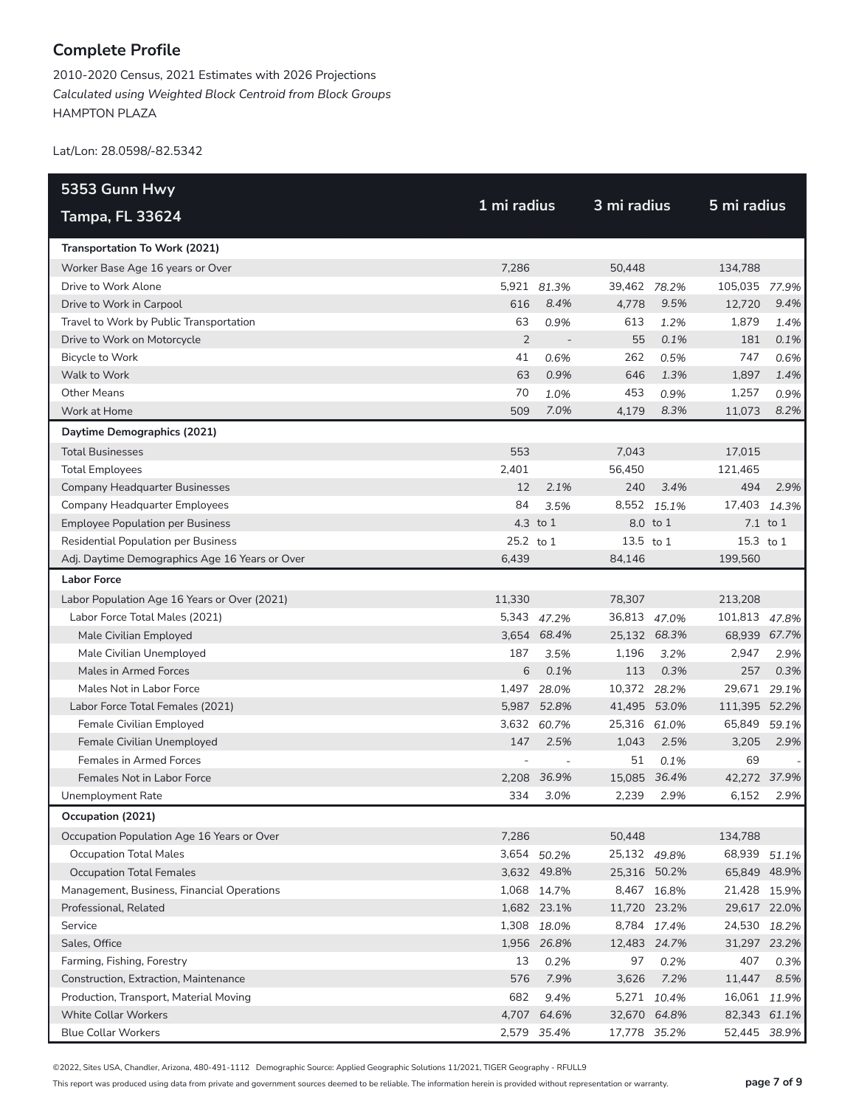2010-2020 Census, 2021 Estimates with 2026 Projections *Calculated using Weighted Block Centroid from Block Groups* HAMPTON PLAZA

Lat/Lon: 28.0598/-82.5342

| 5353 Gunn Hwy                                  |                |                          |              |             |               |          |  |
|------------------------------------------------|----------------|--------------------------|--------------|-------------|---------------|----------|--|
| <b>Tampa, FL 33624</b>                         | 1 mi radius    |                          | 3 mi radius  |             | 5 mi radius   |          |  |
| Transportation To Work (2021)                  |                |                          |              |             |               |          |  |
| Worker Base Age 16 years or Over               | 7,286          |                          | 50,448       |             | 134,788       |          |  |
| Drive to Work Alone                            |                | 5,921 81.3%              | 39,462 78.2% |             | 105,035 77.9% |          |  |
| Drive to Work in Carpool                       | 616            | 8.4%                     | 4,778        | 9.5%        | 12,720        | 9.4%     |  |
| Travel to Work by Public Transportation        | 63             | 0.9%                     | 613          | 1.2%        | 1,879         | 1.4%     |  |
| Drive to Work on Motorcycle                    | $\overline{2}$ | $\overline{\phantom{a}}$ | 55           | 0.1%        | 181           | 0.1%     |  |
| <b>Bicycle to Work</b>                         | 41             | 0.6%                     | 262          | 0.5%        | 747           | 0.6%     |  |
| Walk to Work                                   | 63             | 0.9%                     | 646          | 1.3%        | 1,897         | 1.4%     |  |
| Other Means                                    | 70             | 1.0%                     | 453          | 0.9%        | 1,257         | 0.9%     |  |
| Work at Home                                   | 509            | 7.0%                     | 4,179        | 8.3%        | 11,073        | 8.2%     |  |
| Daytime Demographics (2021)                    |                |                          |              |             |               |          |  |
| <b>Total Businesses</b>                        | 553            |                          | 7,043        |             | 17,015        |          |  |
| <b>Total Employees</b>                         | 2,401          |                          | 56,450       |             | 121,465       |          |  |
| <b>Company Headquarter Businesses</b>          | 12             | 2.1%                     | 240          | 3.4%        | 494           | 2.9%     |  |
| <b>Company Headquarter Employees</b>           | 84             | 3.5%                     | 8,552        | 15.1%       | 17,403        | 14.3%    |  |
| <b>Employee Population per Business</b>        |                | 4.3 to 1                 |              | 8.0 to 1    |               | 7.1 to 1 |  |
| <b>Residential Population per Business</b>     | 25.2 to 1      |                          | 13.5 to 1    |             | 15.3 to 1     |          |  |
| Adj. Daytime Demographics Age 16 Years or Over | 6,439          |                          | 84,146       |             | 199,560       |          |  |
| <b>Labor Force</b>                             |                |                          |              |             |               |          |  |
| Labor Population Age 16 Years or Over (2021)   | 11,330         |                          | 78,307       |             | 213,208       |          |  |
| Labor Force Total Males (2021)                 |                | 5,343 47.2%              | 36,813 47.0% |             | 101,813 47.8% |          |  |
| Male Civilian Employed                         |                | 3,654 68.4%              | 25,132 68.3% |             | 68,939 67.7%  |          |  |
| Male Civilian Unemployed                       | 187            | 3.5%                     | 1,196        | 3.2%        | 2,947         | 2.9%     |  |
| Males in Armed Forces                          | 6              | 0.1%                     | 113          | 0.3%        | 257           | 0.3%     |  |
| Males Not in Labor Force                       |                | 1,497 28.0%              | 10,372 28.2% |             | 29,671 29.1%  |          |  |
| Labor Force Total Females (2021)               |                | 5,987 52.8%              | 41,495 53.0% |             | 111,395 52.2% |          |  |
| Female Civilian Employed                       | 3,632          | 60.7%                    | 25,316 61.0% |             | 65,849        | 59.1%    |  |
| Female Civilian Unemployed                     | 147            | 2.5%                     | 1,043        | 2.5%        | 3,205         | 2.9%     |  |
| <b>Females in Armed Forces</b>                 |                |                          | 51           | 0.1%        | 69            |          |  |
| Females Not in Labor Force                     |                | 2,208 36.9%              | 15,085 36.4% |             | 42,272 37.9%  |          |  |
| Unemployment Rate                              | 334            | 3.0%                     | 2,239        | 2.9%        | 6,152         | 2.9%     |  |
| Occupation (2021)                              |                |                          |              |             |               |          |  |
| Occupation Population Age 16 Years or Over     | 7,286          |                          | 50,448       |             | 134,788       |          |  |
| <b>Occupation Total Males</b>                  |                | 3,654 50.2%              | 25,132 49.8% |             | 68,939 51.1%  |          |  |
| <b>Occupation Total Females</b>                |                | 3,632 49.8%              | 25,316 50.2% |             | 65,849 48.9%  |          |  |
| Management, Business, Financial Operations     |                | 1,068 14.7%              |              | 8,467 16.8% | 21,428 15.9%  |          |  |
| Professional, Related                          |                | 1,682 23.1%              | 11,720 23.2% |             | 29,617 22.0%  |          |  |
| Service                                        |                | 1,308 18.0%              |              | 8,784 17.4% | 24,530 18.2%  |          |  |
| Sales, Office                                  |                | 1,956 26.8%              | 12,483 24.7% |             | 31,297 23.2%  |          |  |
| Farming, Fishing, Forestry                     | 13             | 0.2%                     | 97           | 0.2%        | 407           | 0.3%     |  |
| Construction, Extraction, Maintenance          | 576            | 7.9%                     | 3,626        | 7.2%        | 11,447        | 8.5%     |  |
| Production, Transport, Material Moving         | 682            | 9.4%                     |              | 5,271 10.4% | 16,061 11.9%  |          |  |
| <b>White Collar Workers</b>                    |                | 4,707 64.6%              | 32,670 64.8% |             | 82,343 61.1%  |          |  |
| <b>Blue Collar Workers</b>                     |                | 2,579 35.4%              | 17,778 35.2% |             | 52,445 38.9%  |          |  |

©2022, Sites USA, Chandler, Arizona, 480-491-1112 Demographic Source: Applied Geographic Solutions 11/2021, TIGER Geography - RFULL9

This report was produced using data from private and government sources deemed to be reliable. The information herein is provided without representation or warranty. **page 7 of 9**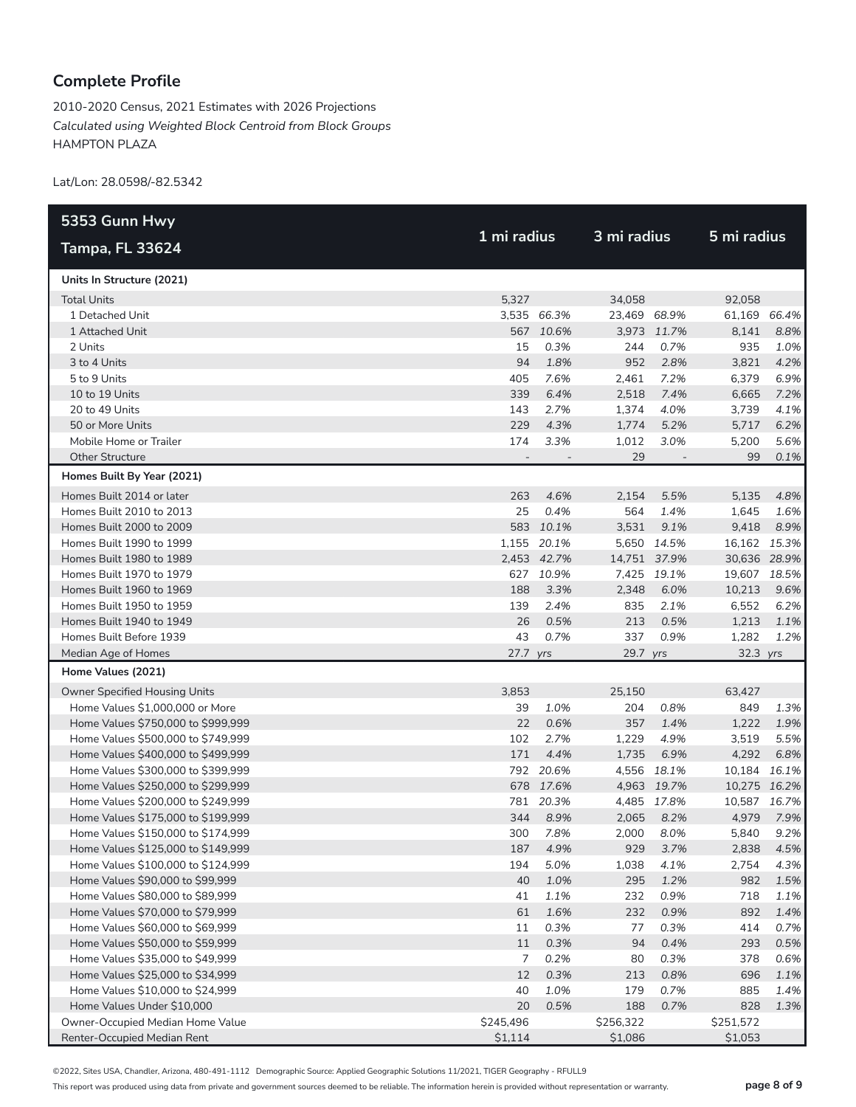2010-2020 Census, 2021 Estimates with 2026 Projections *Calculated using Weighted Block Centroid from Block Groups* HAMPTON PLAZA

Lat/Lon: 28.0598/-82.5342

| 5353 Gunn Hwy                      |                          |             |              |                          |              |             |
|------------------------------------|--------------------------|-------------|--------------|--------------------------|--------------|-------------|
| <b>Tampa, FL 33624</b>             |                          | 1 mi radius |              | 3 mi radius              |              | 5 mi radius |
| Units In Structure (2021)          |                          |             |              |                          |              |             |
| <b>Total Units</b>                 | 5,327                    |             | 34,058       |                          | 92,058       |             |
| 1 Detached Unit                    |                          | 3,535 66.3% | 23,469 68.9% |                          | 61,169 66.4% |             |
| 1 Attached Unit                    |                          | 567 10.6%   |              | 3,973 11.7%              | 8,141        | 8.8%        |
| 2 Units                            | 15                       | 0.3%        | 244          | 0.7%                     | 935          | 1.0%        |
| 3 to 4 Units                       | 94                       | 1.8%        | 952          | 2.8%                     | 3,821        | 4.2%        |
| 5 to 9 Units                       | 405                      | 7.6%        | 2,461        | 7.2%                     | 6,379        | 6.9%        |
| 10 to 19 Units                     | 339                      | 6.4%        | 2,518        | 7.4%                     | 6,665        | 7.2%        |
| 20 to 49 Units                     | 143                      | 2.7%        | 1,374        | 4.0%                     | 3,739        | 4.1%        |
| 50 or More Units                   | 229                      | 4.3%        | 1,774        | 5.2%                     | 5,717        | 6.2%        |
| Mobile Home or Trailer             | 174                      | 3.3%        | 1,012        | 3.0%                     | 5,200        | 5.6%        |
| <b>Other Structure</b>             | $\overline{\phantom{a}}$ |             | 29           | $\overline{\phantom{a}}$ | 99           | 0.1%        |
| Homes Built By Year (2021)         |                          |             |              |                          |              |             |
| Homes Built 2014 or later          | 263                      | 4.6%        | 2,154        | 5.5%                     | 5,135        | 4.8%        |
| Homes Built 2010 to 2013           | 25                       | 0.4%        | 564          | 1.4%                     | 1,645        | 1.6%        |
| Homes Built 2000 to 2009           |                          | 583 10.1%   | 3,531        | 9.1%                     | 9,418        | 8.9%        |
| Homes Built 1990 to 1999           |                          | 1,155 20.1% |              | 5,650 14.5%              | 16,162 15.3% |             |
| Homes Built 1980 to 1989           |                          | 2,453 42.7% | 14,751 37.9% |                          | 30,636 28.9% |             |
| Homes Built 1970 to 1979           |                          | 627 10.9%   |              | 7,425 19.1%              | 19,607 18.5% |             |
| Homes Built 1960 to 1969           | 188                      | 3.3%        | 2,348        | 6.0%                     | 10,213       | 9.6%        |
| Homes Built 1950 to 1959           | 139                      | 2.4%        | 835          | 2.1%                     | 6,552        | 6.2%        |
| Homes Built 1940 to 1949           | 26                       | 0.5%        | 213          | 0.5%                     | 1,213        | 1.1%        |
| Homes Built Before 1939            | 43                       | 0.7%        | 337          | 0.9%                     | 1,282        | 1.2%        |
| Median Age of Homes                | 27.7 yrs                 |             | 29.7 yrs     |                          | 32.3 yrs     |             |
| Home Values (2021)                 |                          |             |              |                          |              |             |
| Owner Specified Housing Units      | 3,853                    |             | 25,150       |                          | 63,427       |             |
| Home Values \$1,000,000 or More    | 39                       | 1.0%        | 204          | 0.8%                     | 849          | 1.3%        |
| Home Values \$750,000 to \$999,999 | 22                       | 0.6%        | 357          | 1.4%                     | 1,222        | 1.9%        |
| Home Values \$500,000 to \$749,999 | 102                      | 2.7%        | 1,229        | 4.9%                     | 3,519        | 5.5%        |
| Home Values \$400,000 to \$499,999 | 171                      | 4.4%        | 1,735        | 6.9%                     | 4,292        | 6.8%        |
| Home Values \$300,000 to \$399,999 |                          | 792 20.6%   |              | 4,556 18.1%              | 10,184 16.1% |             |
| Home Values \$250,000 to \$299,999 |                          | 678 17.6%   |              | 4,963 19.7%              | 10,275 16.2% |             |
| Home Values \$200,000 to \$249,999 |                          | 781 20.3%   |              | 4,485 17.8%              | 10,587 16.7% |             |
| Home Values \$175,000 to \$199,999 | 344                      | 8.9%        | 2,065        | 8.2%                     | 4,979        | 7.9%        |
| Home Values \$150,000 to \$174,999 | 300                      | 7.8%        | 2,000        | 8.0%                     | 5,840        | 9.2%        |
| Home Values \$125,000 to \$149,999 | 187                      | 4.9%        | 929          | 3.7%                     | 2,838        | 4.5%        |
| Home Values \$100,000 to \$124,999 | 194                      | 5.0%        | 1,038        | 4.1%                     | 2,754        | 4.3%        |
| Home Values \$90,000 to \$99,999   | 40                       | 1.0%        | 295          | 1.2%                     | 982          | 1.5%        |
| Home Values \$80,000 to \$89,999   | 41                       | 1.1%        | 232          | 0.9%                     | 718          | 1.1%        |
| Home Values \$70,000 to \$79,999   | 61                       | 1.6%        | 232          | 0.9%                     | 892          | 1.4%        |
| Home Values \$60,000 to \$69,999   | 11                       | 0.3%        | 77           | 0.3%                     | 414          | 0.7%        |
| Home Values \$50,000 to \$59,999   | 11                       | 0.3%        | 94           | 0.4%                     | 293          | 0.5%        |
| Home Values \$35,000 to \$49,999   | 7                        | 0.2%        | 80           | 0.3%                     | 378          | 0.6%        |
| Home Values \$25,000 to \$34,999   | 12                       | 0.3%        | 213          | 0.8%                     | 696          | 1.1%        |
| Home Values \$10,000 to \$24,999   | 40                       | 1.0%        | 179          | 0.7%                     | 885          | 1.4%        |
| Home Values Under \$10,000         | 20                       | 0.5%        | 188          | 0.7%                     | 828          | 1.3%        |
| Owner-Occupied Median Home Value   | \$245,496                |             | \$256,322    |                          | \$251,572    |             |
| Renter-Occupied Median Rent        | \$1,114                  |             | \$1,086      |                          | \$1,053      |             |

©2022, Sites USA, Chandler, Arizona, 480-491-1112 Demographic Source: Applied Geographic Solutions 11/2021, TIGER Geography - RFULL9

This report was produced using data from private and government sources deemed to be reliable. The information herein is provided without representation or warranty. **page 8 of 9**